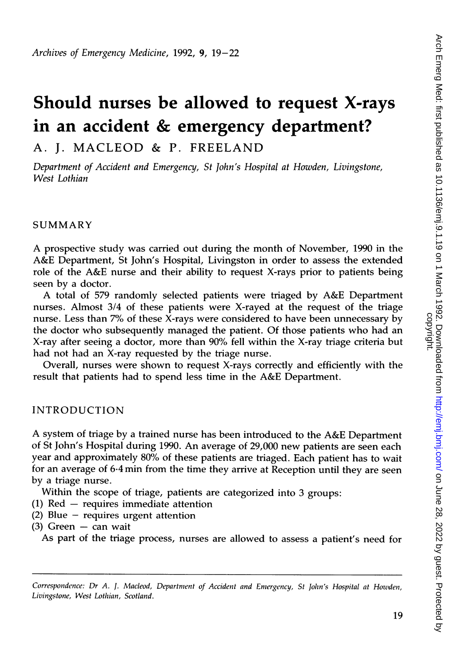# Should nurses be allowed to request X-rays in an accident & emergency department?

A. J. MACLEOD & P. FREELAND

Department of Accident and Emergency, St John's Hospital at Howden, Livingstone, West Lothian

#### SUMMARY

A prospective study was carried out during the month of November, <sup>1990</sup> in the A&E Department, St John's Hospital, Livingston in order to assess the extended role of the A&E nurse and their ability to request X-rays prior to patients being seen by a doctor.

A total of <sup>579</sup> randomly selected patients were triaged by A&E Department nurses. Almost 3/4 of these patients were X-rayed at the request of the triage nurse. Less than 7% of these X-rays were considered to have been unnecessary by the doctor who subsequently managed the patient. Of those patients who had an X-ray after seeing a doctor, more than 90% fell within the X-ray triage criteria but had not had an X-ray requested by the triage nurse.

Overall, nurses were shown to request X-rays correctly and efficiently with the result that patients had to spend less time in the A&E Department.

# INTRODUCTION

A system of triage by <sup>a</sup> trained nurse has been introduced to the A&E Department of St John's Hospital during 1990. An average of 29,000 new patients are seen each year and approximately 80% of these patients are triaged. Each patient has to wait for an average of 6\*4 min from the time they arrive at Reception until they are seen by a triage nurse.

Within the scope of triage, patients are categorized into 3 groups:

- (1) Red  $-$  requires immediate attention
- (2) Blue  $-$  requires urgent attention

 $(3)$  Green - can wait

As part of the triage process, nurses are allowed to assess a patient's need for

Correspondence: Dr A. J. Macleod, Department of Accident and Emergency, St John's Hospital at Howden, Livingstone, West Lothian, Scotland.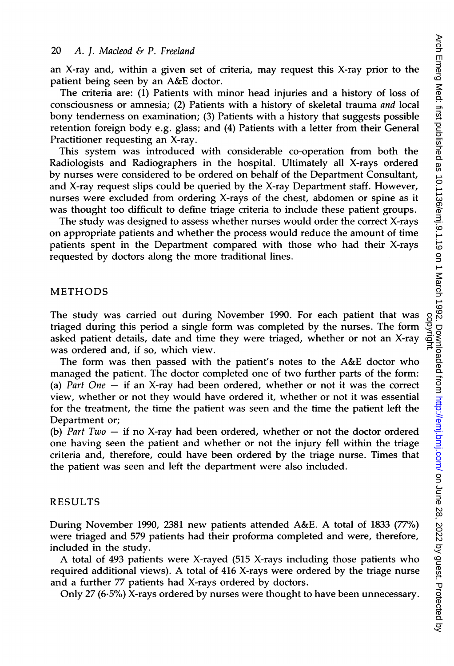#### <sup>20</sup> A. J. Macleod & P. Freeland

an X-ray and, within a given set of criteria, may request this X-ray prior to the patient being seen by an A&E doctor.

The criteria are: (1) Patients with minor head injuries and a history of loss of consciousness or amnesia; (2) Patients with a history of skeletal trauma and local bony tenderness on examination; (3) Patients with a history that suggests possible retention foreign body e.g. glass; and (4) Patients with a letter from their General Practitioner requesting an X-ray.

This system was introduced with considerable co-operation from both the Radiologists and Radiographers in the hospital. Ultimately all X-rays ordered by nurses were considered to be ordered on behalf of the Department Consultant, and X-ray request slips could be queried by the X-ray Department staff. However, nurses were excluded from ordering X-rays of the chest, abdomen or spine as it was thought too difficult to define triage criteria to include these patient groups.

The study was designed to assess whether nurses would order the correct X-rays on appropriate patients and whether the process would reduce the amount of time patients spent in the Department compared with those who had their X-rays requested by doctors along the more traditional lines.

## METHODS

The study was carried out during November 1990. For each patient that was triaged during this period a single form was completed by the nurses. The form asked patient details, date and time they were triaged, whether or not an X-ray was ordered and, if so, which view.

The form was then passed with the patient's notes to the A&E doctor who managed the patient. The doctor completed one of two further parts of the form: (a) Part  $One - if an X-ray had been ordered, whether or not it was the correct$ view, whether or not they would have ordered it, whether or not it was essential for the treatment, the time the patient was seen and the time the patient left the Department or;

(b) Part  $Two - if no X-ray$  had been ordered, whether or not the doctor ordered one having seen the patient and whether or not the injury fell within the triage criteria and, therefore, could have been ordered by the triage nurse. Times that the patient was seen and left the department were also included.

#### RESULTS

During November 1990, <sup>2381</sup> new patients attended A&E. A total of <sup>1833</sup> (77%) were triaged and 579 patients had their proforma completed and were, therefore, included in the study.

A total of <sup>493</sup> patients were X-rayed (515 X-rays including those patients who required additional views). A total of <sup>416</sup> X-rays were ordered by the triage nurse and a further 77 patients had X-rays ordered by doctors.

Only 27 (6.5%) X-rays ordered by nurses were thought to have been unnecessary.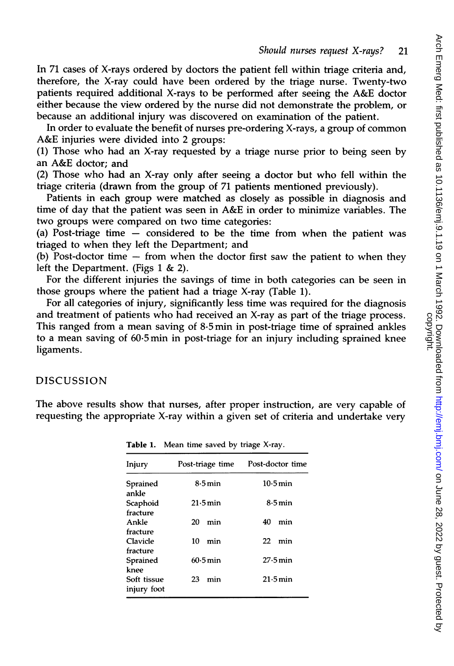In 71 cases of X-rays ordered by doctors the patient fell within triage criteria and, therefore, the X-ray could have been ordered by the triage nurse. Twenty-two patients required additional X-rays to be performed after seeing the A&E doctor either because the view ordered by the nurse did not demonstrate the problem, or because an additional injury was discovered on examination of the patient.

In order to evaluate the benefit of nurses pre-ordering X-rays, <sup>a</sup> group of common A&E injuries were divided into <sup>2</sup> groups:

(1) Those who had an X-ray requested by a triage nurse prior to being seen by an A&E doctor; and

(2) Those who had an X-ray only after seeing <sup>a</sup> doctor but who fell within the triage criteria (drawn from the group of 71 patients mentioned previously).

Patients in each group were matched as closely as possible in diagnosis and time of day that the patient was seen in A&E in order to minimize variables. The two groups were compared on two time categories:

(a) Post-triage time  $-$  considered to be the time from when the patient was triaged to when they left the Department; and

(b) Post-doctor time  $-$  from when the doctor first saw the patient to when they left the Department. (Figs  $1 \& 2$ ).

For the different injuries the savings of time in both categories can be seen in those groups where the patient had a triage X-ray (Table 1).

For all categories of injury, significantly less time was required for the diagnosis and treatment of patients who had received an X-ray as part of the triage process. This ranged from a mean saving of 8.5min in post-triage time of sprained ankles to a mean saving of 60.5min in post-triage for an injury including sprained knee ligaments.

#### DISCUSSION

The above results show that nurses, after proper instruction, are very capable of requesting the appropriate X-ray within a given set of criteria and undertake very

| <b>Table 1.</b> Mean time saved by triage $\lambda$ -ray. |                     |                      |
|-----------------------------------------------------------|---------------------|----------------------|
| Injury                                                    | Post-triage time    | Post-doctor time     |
| Sprained<br>ankle                                         | $8.5\,\mathrm{min}$ | 10.5 min             |
| Scaphoid<br>fracture                                      | $21.5$ min          | $8.5 \,\mathrm{min}$ |
| Ankle<br>fracture                                         | 20<br>min           | 40<br>min            |
| Clavicle<br>fracture                                      | 10<br>min           | 22<br>min            |
| Sprained<br>knee                                          | $60.5$ min          | $27.5$ min           |
| Soft tissue<br>injury foot                                | 23<br>min           | $21.5$ min           |

Table 1. Mean time saved by triage X-ray.